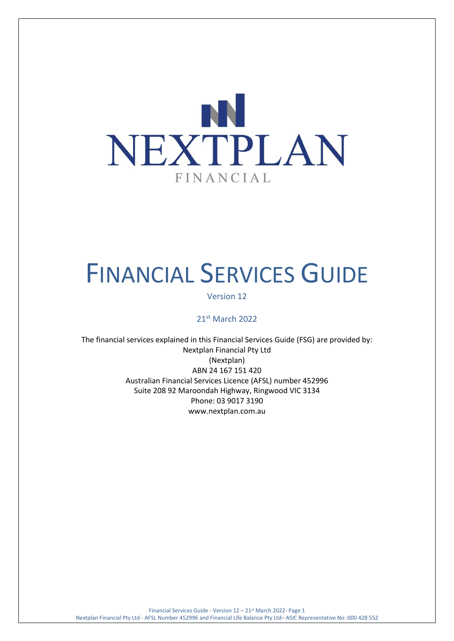

# FINANCIAL SERVICES GUIDE

## Version 12

## 21st March 2022

The financial services explained in this Financial Services Guide (FSG) are provided by: Nextplan Financial Pty Ltd (Nextplan) ABN 24 167 151 420 Australian Financial Services Licence (AFSL) number 452996 Suite 208 92 Maroondah Highway, Ringwood VIC 3134 Phone: 03 9017 3190 [www.nextplan.com.au](http://www.nextplan.com.au/)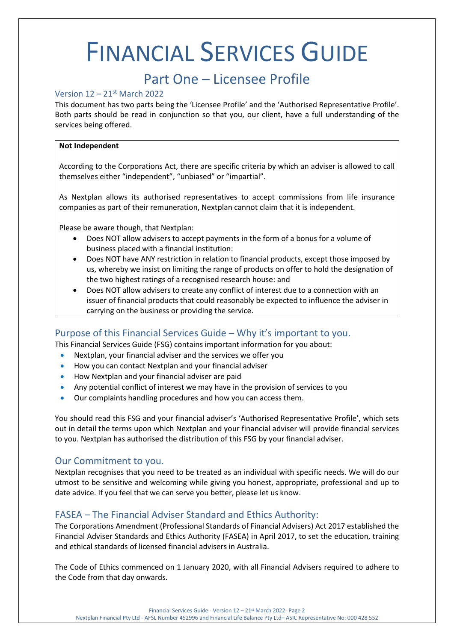## FINANCIAL SERVICES GUIDE

## Part One – Licensee Profile

## Version 12 – 21st March 2022

This document has two parts being the 'Licensee Profile' and the 'Authorised Representative Profile'. Both parts should be read in conjunction so that you, our client, have a full understanding of the services being offered.

#### **Not Independent**

According to the Corporations Act, there are specific criteria by which an adviser is allowed to call themselves either "independent", "unbiased" or "impartial".

As Nextplan allows its authorised representatives to accept commissions from life insurance companies as part of their remuneration, Nextplan cannot claim that it is independent.

Please be aware though, that Nextplan:

- Does NOT allow advisers to accept payments in the form of a bonus for a volume of business placed with a financial institution:
- Does NOT have ANY restriction in relation to financial products, except those imposed by us, whereby we insist on limiting the range of products on offer to hold the designation of the two highest ratings of a recognised research house: and
- Does NOT allow advisers to create any conflict of interest due to a connection with an issuer of financial products that could reasonably be expected to influence the adviser in carrying on the business or providing the service.

## Purpose of this Financial Services Guide – Why it's important to you.

This Financial Services Guide (FSG) contains important information for you about:

- Nextplan, your financial adviser and the services we offer you
- How you can contact Nextplan and your financial adviser
- How Nextplan and your financial adviser are paid
- Any potential conflict of interest we may have in the provision of services to you
- Our complaints handling procedures and how you can access them.

You should read this FSG and your financial adviser's 'Authorised Representative Profile', which sets out in detail the terms upon which Nextplan and your financial adviser will provide financial services to you. Nextplan has authorised the distribution of this FSG by your financial adviser.

## Our Commitment to you.

Nextplan recognises that you need to be treated as an individual with specific needs. We will do our utmost to be sensitive and welcoming while giving you honest, appropriate, professional and up to date advice. If you feel that we can serve you better, please let us know.

## FASEA – The Financial Adviser Standard and Ethics Authority:

The Corporations Amendment (Professional Standards of Financial Advisers) Act 2017 established the Financial Adviser Standards and Ethics Authority (FASEA) in April 2017, to set the education, training and ethical standards of licensed financial advisers in Australia.

The Code of Ethics commenced on 1 January 2020, with all Financial Advisers required to adhere to the Code from that day onwards.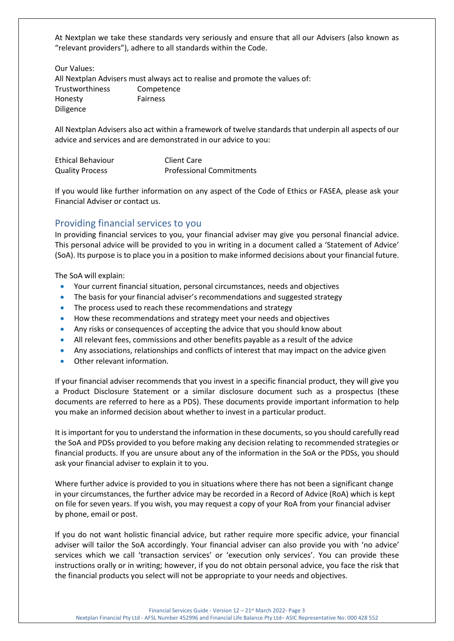At Nextplan we take these standards very seriously and ensure that all our Advisers (also known as "relevant providers"), adhere to all standards within the Code.

Our Values:

All Nextplan Advisers must always act to realise and promote the values of: Trustworthiness Competence Honesty Fairness Diligence

All Nextplan Advisers also act within a framework of twelve standards that underpin all aspects of our advice and services and are demonstrated in our advice to you:

| <b>Ethical Behaviour</b> | Client Care                     |
|--------------------------|---------------------------------|
| <b>Quality Process</b>   | <b>Professional Commitments</b> |

If you would like further information on any aspect of the Code of Ethics or FASEA, please ask your Financial Adviser or contact us.

## Providing financial services to you

In providing financial services to you, your financial adviser may give you personal financial advice. This personal advice will be provided to you in writing in a document called a 'Statement of Advice' (SoA). Its purpose is to place you in a position to make informed decisions about your financial future.

The SoA will explain:

- Your current financial situation, personal circumstances, needs and objectives
- The basis for your financial adviser's recommendations and suggested strategy
- The process used to reach these recommendations and strategy
- How these recommendations and strategy meet your needs and objectives
- Any risks or consequences of accepting the advice that you should know about
- All relevant fees, commissions and other benefits payable as a result of the advice
- Any associations, relationships and conflicts of interest that may impact on the advice given
- Other relevant information.

If your financial adviser recommends that you invest in a specific financial product, they will give you a Product Disclosure Statement or a similar disclosure document such as a prospectus (these documents are referred to here as a PDS). These documents provide important information to help you make an informed decision about whether to invest in a particular product.

It is important for you to understand the information in these documents, so you should carefully read the SoA and PDSs provided to you before making any decision relating to recommended strategies or financial products. If you are unsure about any of the information in the SoA or the PDSs, you should ask your financial adviser to explain it to you.

Where further advice is provided to you in situations where there has not been a significant change in your circumstances, the further advice may be recorded in a Record of Advice (RoA) which is kept on file for seven years. If you wish, you may request a copy of your RoA from your financial adviser by phone, email or post.

If you do not want holistic financial advice, but rather require more specific advice, your financial adviser will tailor the SoA accordingly. Your financial adviser can also provide you with 'no advice' services which we call 'transaction services' or 'execution only services'. You can provide these instructions orally or in writing; however, if you do not obtain personal advice, you face the risk that the financial products you select will not be appropriate to your needs and objectives.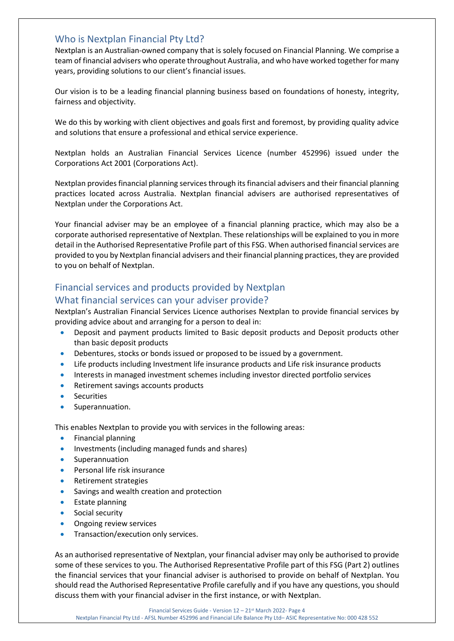## Who is Nextplan Financial Pty Ltd?

Nextplan is an Australian-owned company that is solely focused on Financial Planning. We comprise a team of financial advisers who operate throughout Australia, and who have worked together for many years, providing solutions to our client's financial issues.

Our vision is to be a leading financial planning business based on foundations of honesty, integrity, fairness and objectivity.

We do this by working with client objectives and goals first and foremost, by providing quality advice and solutions that ensure a professional and ethical service experience.

Nextplan holds an Australian Financial Services Licence (number 452996) issued under the Corporations Act 2001 (Corporations Act).

Nextplan provides financial planning services through its financial advisers and their financial planning practices located across Australia. Nextplan financial advisers are authorised representatives of Nextplan under the Corporations Act.

Your financial adviser may be an employee of a financial planning practice, which may also be a corporate authorised representative of Nextplan. These relationships will be explained to you in more detail in the Authorised Representative Profile part of this FSG. When authorised financial services are provided to you by Nextplan financial advisers and their financial planning practices, they are provided to you on behalf of Nextplan.

## Financial services and products provided by Nextplan

## What financial services can your adviser provide?

Nextplan's Australian Financial Services Licence authorises Nextplan to provide financial services by providing advice about and arranging for a person to deal in:

- Deposit and payment products limited to Basic deposit products and Deposit products other than basic deposit products
- Debentures, stocks or bonds issued or proposed to be issued by a government.
- Life products including Investment life insurance products and Life risk insurance products
- Interests in managed investment schemes including investor directed portfolio services
- Retirement savings accounts products
- **Securities**
- Superannuation.

This enables Nextplan to provide you with services in the following areas:

- Financial planning
- Investments (including managed funds and shares)
- **Superannuation**
- Personal life risk insurance
- Retirement strategies
- Savings and wealth creation and protection
- Estate planning
- Social security
- Ongoing review services
- Transaction/execution only services.

As an authorised representative of Nextplan, your financial adviser may only be authorised to provide some of these services to you. The Authorised Representative Profile part of this FSG (Part 2) outlines the financial services that your financial adviser is authorised to provide on behalf of Nextplan. You should read the Authorised Representative Profile carefully and if you have any questions, you should discuss them with your financial adviser in the first instance, or with Nextplan.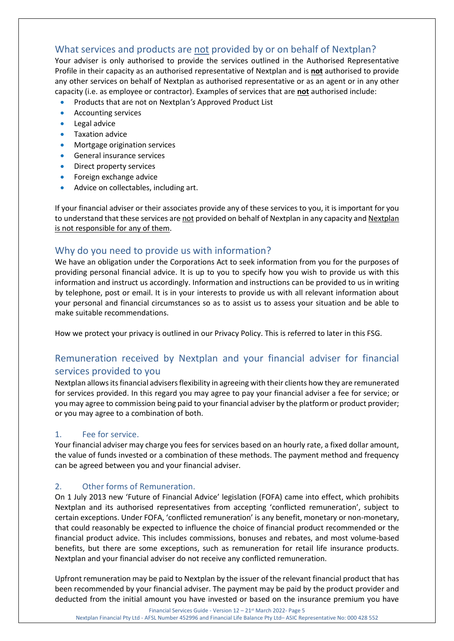## What services and products are not provided by or on behalf of Nextplan?

Your adviser is only authorised to provide the services outlined in the Authorised Representative Profile in their capacity as an authorised representative of Nextplan and is **not** authorised to provide any other services on behalf of Nextplan as authorised representative or as an agent or in any other capacity (i.e. as employee or contractor). Examples of services that are **not** authorised include:

- Products that are not on Nextplan*'s* Approved Product List
- Accounting services
- Legal advice
- Taxation advice
- Mortgage origination services
- General insurance services
- Direct property services
- Foreign exchange advice
- Advice on collectables, including art.

If your financial adviser or their associates provide any of these services to you, it is important for you to understand that these services are not provided on behalf of Nextplan in any capacity and Nextplan is not responsible for any of them.

## Why do you need to provide us with information?

We have an obligation under the Corporations Act to seek information from you for the purposes of providing personal financial advice. It is up to you to specify how you wish to provide us with this information and instruct us accordingly. Information and instructions can be provided to us in writing by telephone, post or email. It is in your interests to provide us with all relevant information about your personal and financial circumstances so as to assist us to assess your situation and be able to make suitable recommendations.

How we protect your privacy is outlined in our Privacy Policy. This is referred to later in this FSG.

## Remuneration received by Nextplan and your financial adviser for financial services provided to you

Nextplan allows its financial advisers flexibility in agreeing with their clients how they are remunerated for services provided. In this regard you may agree to pay your financial adviser a fee for service; or you may agree to commission being paid to your financial adviser by the platform or product provider; or you may agree to a combination of both.

## 1. Fee for service.

Your financial adviser may charge you fees for services based on an hourly rate, a fixed dollar amount, the value of funds invested or a combination of these methods. The payment method and frequency can be agreed between you and your financial adviser.

## 2. Other forms of Remuneration.

On 1 July 2013 new 'Future of Financial Advice' legislation (FOFA) came into effect, which prohibits Nextplan and its authorised representatives from accepting 'conflicted remuneration', subject to certain exceptions. Under FOFA, 'conflicted remuneration' is any benefit, monetary or non-monetary, that could reasonably be expected to influence the choice of financial product recommended or the financial product advice. This includes commissions, bonuses and rebates, and most volume-based benefits, but there are some exceptions, such as remuneration for retail life insurance products. Nextplan and your financial adviser do not receive any conflicted remuneration.

Upfront remuneration may be paid to Nextplan by the issuer of the relevant financial product that has been recommended by your financial adviser. The payment may be paid by the product provider and deducted from the initial amount you have invested or based on the insurance premium you have

Financial Services Guide - Version 12 – 21st March 2022- Page 5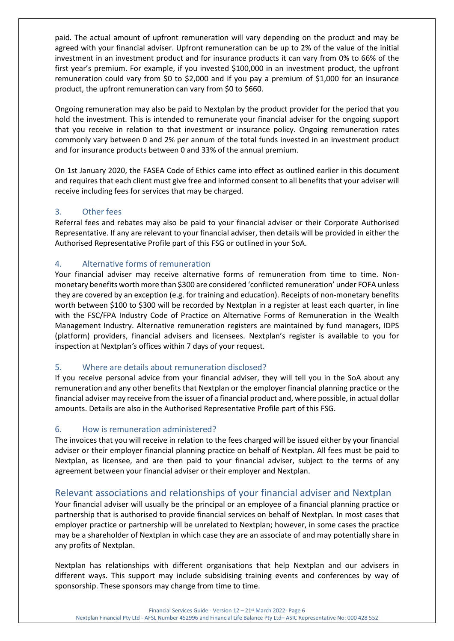paid. The actual amount of upfront remuneration will vary depending on the product and may be agreed with your financial adviser. Upfront remuneration can be up to 2% of the value of the initial investment in an investment product and for insurance products it can vary from 0% to 66% of the first year's premium. For example, if you invested \$100,000 in an investment product, the upfront remuneration could vary from \$0 to \$2,000 and if you pay a premium of \$1,000 for an insurance product, the upfront remuneration can vary from \$0 to \$660.

Ongoing remuneration may also be paid to Nextplan by the product provider for the period that you hold the investment. This is intended to remunerate your financial adviser for the ongoing support that you receive in relation to that investment or insurance policy. Ongoing remuneration rates commonly vary between 0 and 2% per annum of the total funds invested in an investment product and for insurance products between 0 and 33% of the annual premium.

On 1st January 2020, the FASEA Code of Ethics came into effect as outlined earlier in this document and requires that each client must give free and informed consent to all benefits that your adviser will receive including fees for services that may be charged.

## 3. Other fees

Referral fees and rebates may also be paid to your financial adviser or their Corporate Authorised Representative. If any are relevant to your financial adviser, then details will be provided in either the Authorised Representative Profile part of this FSG or outlined in your SoA.

## 4. Alternative forms of remuneration

Your financial adviser may receive alternative forms of remuneration from time to time. Nonmonetary benefits worth more than \$300 are considered 'conflicted remuneration' under FOFA unless they are covered by an exception (e.g. for training and education). Receipts of non-monetary benefits worth between \$100 to \$300 will be recorded by Nextplan in a register at least each quarter, in line with the FSC/FPA Industry Code of Practice on Alternative Forms of Remuneration in the Wealth Management Industry. Alternative remuneration registers are maintained by fund managers, IDPS (platform) providers, financial advisers and licensees. Nextplan's register is available to you for inspection at Nextplan*'s* offices within 7 days of your request.

## 5. Where are details about remuneration disclosed?

If you receive personal advice from your financial adviser, they will tell you in the SoA about any remuneration and any other benefits that Nextplan or the employer financial planning practice or the financial adviser may receive from the issuer of a financial product and, where possible, in actual dollar amounts. Details are also in the Authorised Representative Profile part of this FSG.

#### 6. How is remuneration administered?

The invoices that you will receive in relation to the fees charged will be issued either by your financial adviser or their employer financial planning practice on behalf of Nextplan. All fees must be paid to Nextplan, as licensee, and are then paid to your financial adviser, subject to the terms of any agreement between your financial adviser or their employer and Nextplan.

## Relevant associations and relationships of your financial adviser and Nextplan

Your financial adviser will usually be the principal or an employee of a financial planning practice or partnership that is authorised to provide financial services on behalf of Nextplan*.* In most cases that employer practice or partnership will be unrelated to Nextplan; however, in some cases the practice may be a shareholder of Nextplan in which case they are an associate of and may potentially share in any profits of Nextplan.

Nextplan has relationships with different organisations that help Nextplan and our advisers in different ways. This support may include subsidising training events and conferences by way of sponsorship. These sponsors may change from time to time.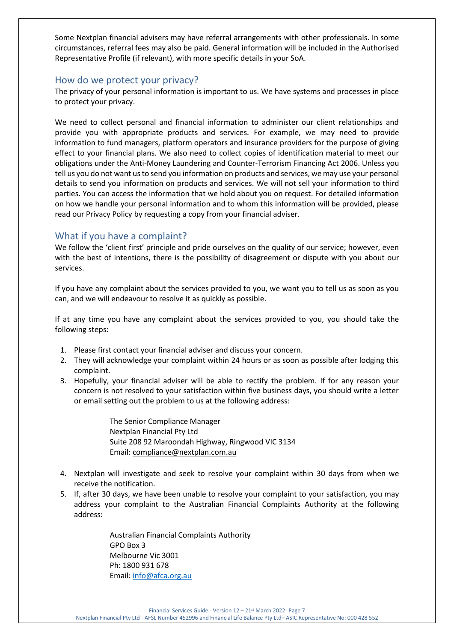Some Nextplan financial advisers may have referral arrangements with other professionals. In some circumstances, referral fees may also be paid. General information will be included in the Authorised Representative Profile (if relevant), with more specific details in your SoA.

## How do we protect your privacy?

The privacy of your personal information is important to us. We have systems and processes in place to protect your privacy.

We need to collect personal and financial information to administer our client relationships and provide you with appropriate products and services. For example, we may need to provide information to fund managers, platform operators and insurance providers for the purpose of giving effect to your financial plans. We also need to collect copies of identification material to meet our obligations under the Anti-Money Laundering and Counter-Terrorism Financing Act 2006. Unless you tell us you do not want us to send you information on products and services, we may use your personal details to send you information on products and services. We will not sell your information to third parties. You can access the information that we hold about you on request. For detailed information on how we handle your personal information and to whom this information will be provided, please read our Privacy Policy by requesting a copy from your financial adviser.

## What if you have a complaint?

We follow the 'client first' principle and pride ourselves on the quality of our service; however, even with the best of intentions, there is the possibility of disagreement or dispute with you about our services.

If you have any complaint about the services provided to you, we want you to tell us as soon as you can, and we will endeavour to resolve it as quickly as possible.

If at any time you have any complaint about the services provided to you, you should take the following steps:

- 1. Please first contact your financial adviser and discuss your concern.
- 2. They will acknowledge your complaint within 24 hours or as soon as possible after lodging this complaint.
- 3. Hopefully, your financial adviser will be able to rectify the problem. If for any reason your concern is not resolved to your satisfaction within five business days, you should write a letter or email setting out the problem to us at the following address:

The Senior Compliance Manager Nextplan Financial Pty Ltd Suite 208 92 Maroondah Highway, Ringwood VIC 3134 Email: [compliance@nextplan.com.au](mailto:compliance@nextplan.com.au)

- 4. Nextplan will investigate and seek to resolve your complaint within 30 days from when we receive the notification.
- 5. If, after 30 days, we have been unable to resolve your complaint to your satisfaction, you may address your complaint to the Australian Financial Complaints Authority at the following address:

Australian Financial Complaints Authority GPO Box 3 Melbourne Vic 3001 Ph: 1800 931 678 Email: [info@afca.org.au](mailto:info@afca.org.au)